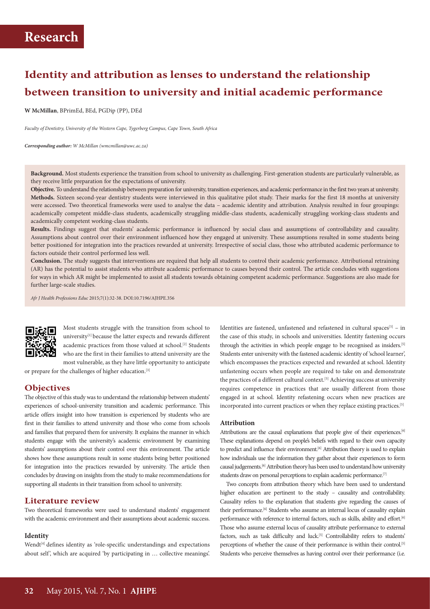# **Identity and attribution as lenses to understand the relationship between transition to university and initial academic performance**

**W McMillan**, BPrimEd, BEd, PGDip (PP), DEd

*Faculty of Dentistry, University of the Western Cape, Tygerberg Campus, Cape Town, South Africa*

*Corresponding author: W McMillan (wmcmillan@uwc.ac.za)*

**Background.** Most students experience the transition from school to university as challenging. First-generation students are particularly vulnerable, as they receive little preparation for the expectations of university.

**Objective.** To understand the relationship between preparation for university, transition experiences, and academic performance in the first two years at university. **Methods.** Sixteen second-year dentistry students were interviewed in this qualitative pilot study. Their marks for the first 18 months at university were accessed. Two theoretical frameworks were used to analyse the data – academic identity and attribution. Analysis resulted in four groupings: academically competent middle-class students, academically struggling middle-class students, academically struggling working-class students and academically competent working-class students.

**Results.** Findings suggest that students' academic performance is influenced by social class and assumptions of controllability and causality. Assumptions about control over their environment influenced how they engaged at university. These assumptions resulted in some students being better positioned for integration into the practices rewarded at university. Irrespective of social class, those who attributed academic performance to factors outside their control performed less well.

**Conclusion.** The study suggests that interventions are required that help all students to control their academic performance. Attributional retraining (AR) has the potential to assist students who attribute academic performance to causes beyond their control. The article concludes with suggestions for ways in which AR might be implemented to assist all students towards obtaining competent academic performance. Suggestions are also made for further large-scale studies.

*Afr J Health Professions Educ* 2015;7(1):32-38. DOI:10.7196/AJHPE.356



Most students struggle with the transition from school to university<sup>[1]</sup> because the latter expects and rewards different academic practices from those valued at school.<sup>[2]</sup> Students who are the first in their families to attend university are the most vulnerable, as they have little opportunity to anticipate

or prepare for the challenges of higher education.[3]

### **Objectives**

The objective of this study was to understand the relationship between students' experiences of school-university transition and academic performance. This article offers insight into how transition is experienced by students who are first in their families to attend university and those who come from schools and families that prepared them for university. It explains the manner in which students engage with the university's academic environment by examining students' assumptions about their control over this environment. The article shows how these assumptions result in some students being better positioned for integration into the practices rewarded by university. The article then concludes by drawing on insights from the study to make recommendations for supporting all students in their transition from school to university.

### **Literature review**

Two theoretical frameworks were used to understand students' engagement with the academic environment and their assumptions about academic success.

#### **Identity**

Wendt<sup>[4]</sup> defines identity as 'role-specific understandings and expectations about self', which are acquired 'by participating in ... collective meanings'. Identities are fastened, unfastened and refastened in cultural spaces<sup>[5]</sup> – in the case of this study, in schools and universities. Identity fastening occurs through the activities in which people engage to be recognised as insiders.<sup>[5]</sup> Students enter university with the fastened academic identity of 'school learner', which encompasses the practices expected and rewarded at school. Identity unfastening occurs when people are required to take on and demonstrate the practices of a different cultural context.<sup>[5]</sup> Achieving success at university requires competence in practices that are usually different from those engaged in at school. Identity refastening occurs when new practices are incorporated into current practices or when they replace existing practices.<sup>[5]</sup>

### **Attribution**

Attributions are the causal explanations that people give of their experiences.<sup>[6]</sup> These explanations depend on people's beliefs with regard to their own capacity to predict and influence their environment.<sup>[6]</sup> Attribution theory is used to explain how individuals use the information they gather about their experiences to form causal judgements.[6] Attribution theory has been used to understand how university students draw on personal perceptions to explain academic performance.<sup>[7]</sup>

Two concepts from attribution theory which have been used to understand higher education are pertinent to the study – causality and controllability. Causality refers to the explanation that students give regarding the causes of their performance.<sup>[6]</sup> Students who assume an internal locus of causality explain performance with reference to internal factors, such as skills, ability and effort.<sup>[6]</sup> Those who assume external locus of causality attribute performance to external factors, such as task difficulty and luck.<sup>[5]</sup> Controllability refers to students' perceptions of whether the cause of their performance is within their control.<sup>[5]</sup> Students who perceive themselves as having control over their performance (i.e.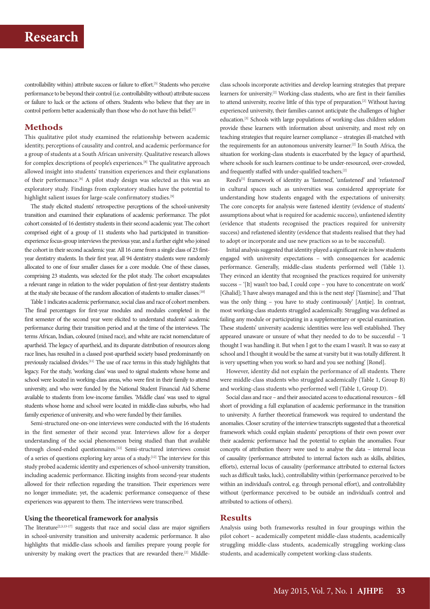controllability within) attribute success or failure to effort.[5] Students who perceive performance to be beyond their control (i.e. controllability without) attribute success or failure to luck or the actions of others. Students who believe that they are in control perform better academically than those who do not have this belief.[7]

## **Methods**

This qualitative pilot study examined the relationship between academic identity, perceptions of causality and control, and academic performance for a group of students at a South African university. Qualitative research allows for complex descriptions of people's experiences.[8] The qualitative approach allowed insight into students' transition experiences and their explanations of their performance.<sup>[8]</sup> A pilot study design was selected as this was an exploratory study. Findings from exploratory studies have the potential to highlight salient issues for large-scale confirmatory studies.<sup>[9]</sup>

The study elicited students' retrospective perceptions of the school-university transition and examined their explanations of academic performance. The pilot cohort consisted of 16 dentistry students in their second academic year. The cohort comprised eight of a group of 11 students who had participated in transitionexperience focus-group interviews the previous year, and a further eight who joined the cohort in their second academic year. All 16 came from a single class of 23 firstyear dentistry students. In their first year, all 94 dentistry students were randomly allocated to one of four smaller classes for a core module. One of these classes, comprising 23 students, was selected for the pilot study. The cohort encapsulates a relevant range in relation to the wider population of first-year dentistry students at the study site because of the random allocation of students to smaller classes.[10]

Table 1 indicates academic performance, social class and race of cohort members. The final percentages for first-year modules and modules completed in the first semester of the second year were elicited to understand students' academic performance during their transition period and at the time of the interviews. The terms African, Indian, coloured (mixed race), and white are racist nomenclature of apartheid. The legacy of apartheid, and its disparate distribution of resources along race lines, has resulted in a classed post-apartheid society based predominantly on previously racialised divides.[11] The use of race terms in this study highlights that legacy. For the study, 'working class' was used to signal students whose home and school were located in working-class areas, who were first in their family to attend university, and who were funded by the National Student Financial Aid Scheme available to students from low-income families. 'Middle class' was used to signal students whose home and school were located in middle-class suburbs, who had family experience of university, and who were funded by their families.

Semi-structured one-on-one interviews were conducted with the 16 students in the first semester of their second year. Interviews allow for a deeper understanding of the social phenomenon being studied than that available through closed-ended questionnaires.<sup>[12]</sup> Semi-structured interviews consist of a series of questions exploring key areas of a study.[12] The interview for this study probed academic identity and experiences of school-university transition, including academic performance. Eliciting insights from second-year students allowed for their reflection regarding the transition. Their experiences were no longer immediate; yet, the academic performance consequence of these experiences was apparent to them. The interviews were transcribed.

### **Using the theoretical framework for analysis**

The literature<sup>[2,3,13-17]</sup> suggests that race and social class are major signifiers in school-university transition and university academic performance. It also highlights that middle-class schools and families prepare young people for university by making overt the practices that are rewarded there.<sup>[2]</sup> Middle-

class schools incorporate activities and develop learning strategies that prepare learners for university.<sup>[2]</sup> Working-class students, who are first in their families to attend university, receive little of this type of preparation.<sup>[2]</sup> Without having experienced university, their families cannot anticipate the challenges of higher education.[3] Schools with large populations of working-class children seldom provide these learners with information about university, and most rely on teaching strategies that require learner compliance – strategies ill-matched with the requirements for an autonomous university learner.[2] In South Africa, the situation for working-class students is exacerbated by the legacy of apartheid, where schools for such learners continue to be under-resourced, over-crowded, and frequently staffed with under-qualified teachers.[2]

Reed's<sup>[5]</sup> framework of identity as 'fastened', 'unfastened' and 'refastened' in cultural spaces such as universities was considered appropriate for understanding how students engaged with the expectations of university. The core concepts for analysis were fastened identity (evidence of students' assumptions about what is required for academic success), unfastened identity (evidence that students recognised the practices required for university success) and refastened identity (evidence that students realised that they had to adopt or incorporate and use new practices so as to be successful).

Initial analysis suggested that identity played a significant role in how students engaged with university expectations – with consequences for academic performance. Generally, middle-class students performed well (Table 1). They evinced an identity that recognised the practices required for university success – '[It] wasn't too bad, I could cope – you have to concentrate on work' [Ghalid]; 'I have always managed and this is the next step' [Yasmine]; and 'That was the only thing – you have to study continuously' [Antjie]. In contrast, most working-class students struggled academically. Struggling was defined as failing any module or participating in a supplementary or special examination. These students' university academic identities were less well established. They appeared unaware or unsure of what they needed to do to be successful – 'I thought I was handling it. But when I got to the exam I wasn't. It was so easy at school and I thought it would be the same at varsity but it was totally different. It is very upsetting when you work so hard and you see nothing' [Ronel].

However, identity did not explain the performance of all students. There were middle-class students who struggled academically (Table 1, Group B) and working-class students who performed well (Table 1, Group D).

Social class and race – and their associated access to educational resources – fell short of providing a full explanation of academic performance in the transition to university. A further theoretical framework was required to understand the anomalies. Closer scrutiny of the interview transcripts suggested that a theoretical framework which could explain students' perceptions of their own power over their academic performance had the potential to explain the anomalies. Four concepts of attribution theory were used to analyse the data – internal locus of causality (performance attributed to internal factors such as skills, abilities, efforts), external locus of causality (performance attributed to external factors such as difficult tasks, luck), controllability within (performance perceived to be within an individual's control, e.g. through personal effort), and controllability without (performance perceived to be outside an individual's control and attributed to actions of others).

# **Results**

Analysis using both frameworks resulted in four groupings within the pilot cohort – academically competent middle-class students, academically struggling middle-class students, academically struggling working-class students, and academically competent working-class students.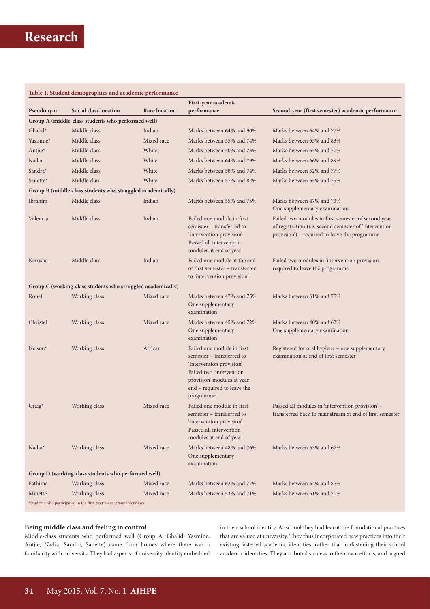## **Table 1. Student demographics and academic performance**

|                                                            |                                                                      |               | First-year academic                                                                                                                                                                       |                                                                                                                                                                |  |  |  |
|------------------------------------------------------------|----------------------------------------------------------------------|---------------|-------------------------------------------------------------------------------------------------------------------------------------------------------------------------------------------|----------------------------------------------------------------------------------------------------------------------------------------------------------------|--|--|--|
| Pseudonym                                                  | Social class location                                                | Race location | performance                                                                                                                                                                               | Second-year (first semester) academic performance                                                                                                              |  |  |  |
| Group A (middle-class students who performed well)         |                                                                      |               |                                                                                                                                                                                           |                                                                                                                                                                |  |  |  |
| Ghalid*                                                    | Middle class                                                         | Indian        | Marks between 64% and 90%                                                                                                                                                                 | Marks between 64% and 77%                                                                                                                                      |  |  |  |
| Yasmine*                                                   | Middle class                                                         | Mixed race    | Marks between 55% and 74%                                                                                                                                                                 | Marks between 55% and 83%                                                                                                                                      |  |  |  |
| Antjie*                                                    | Middle class                                                         | White         | Marks between 50% and 73%                                                                                                                                                                 | Marks between 55% and 71%                                                                                                                                      |  |  |  |
| Nadia                                                      | Middle class                                                         | White         | Marks between 64% and 79%                                                                                                                                                                 | Marks between 66% and 89%                                                                                                                                      |  |  |  |
| Sandra <sup>*</sup>                                        | Middle class                                                         | White         | Marks between 58% and 74%                                                                                                                                                                 | Marks between 52% and 77%                                                                                                                                      |  |  |  |
| Sanette*                                                   | Middle class                                                         | White         | Marks between 57% and 82%                                                                                                                                                                 | Marks between 55% and 75%                                                                                                                                      |  |  |  |
| Group B (middle-class students who struggled academically) |                                                                      |               |                                                                                                                                                                                           |                                                                                                                                                                |  |  |  |
| Ibrahim                                                    | Middle class                                                         | Indian        | Marks between 55% and 75%                                                                                                                                                                 | Marks between 47% and 73%<br>One supplementary examination                                                                                                     |  |  |  |
| Valencia                                                   | Middle class                                                         | Indian        | Failed one module in first<br>semester – transferred to<br>'intervention provision'<br>Passed all intervention<br>modules at end of year                                                  | Failed two modules in first semester of second year<br>of registration (i.e. second semester of 'intervention<br>provision') - required to leave the programme |  |  |  |
| Kerusha                                                    | Middle class                                                         | Indian        | Failed one module at the end<br>of first semester - transferred<br>to 'intervention provision'                                                                                            | Failed two modules in 'intervention provision' -<br>required to leave the programme                                                                            |  |  |  |
|                                                            | Group C (working-class students who struggled academically)          |               |                                                                                                                                                                                           |                                                                                                                                                                |  |  |  |
| Ronel                                                      | Working class                                                        | Mixed race    | Marks between 47% and 75%<br>One supplementary<br>examination                                                                                                                             | Marks between 61% and 75%                                                                                                                                      |  |  |  |
| Christel                                                   | Working class                                                        | Mixed race    | Marks between 45% and 72%                                                                                                                                                                 | Marks between 40% and 62%                                                                                                                                      |  |  |  |
|                                                            |                                                                      |               | One supplementary<br>examination                                                                                                                                                          | One supplementary examination                                                                                                                                  |  |  |  |
| $Nelson*$                                                  | Working class                                                        | African       | Failed one module in first<br>semester – transferred to<br>'intervention provision'<br>Failed two 'intervention<br>provision' modules at year<br>end – required to leave the<br>programme | Registered for oral hygiene - one supplementary<br>examination at end of first semester                                                                        |  |  |  |
| $Craig*$                                                   | Working class                                                        | Mixed race    | Failed one module in first<br>semester – transferred to<br>'intervention provision'<br>Passed all intervention<br>modules at end of year                                                  | Passed all modules in 'intervention provision' -<br>transferred back to mainstream at end of first semester                                                    |  |  |  |
| Nadia*                                                     | Working class                                                        | Mixed race    | Marks between 48% and 76%<br>One supplementary<br>examination                                                                                                                             | Marks between 63% and 67%                                                                                                                                      |  |  |  |
| Group D (working-class students who performed well)        |                                                                      |               |                                                                                                                                                                                           |                                                                                                                                                                |  |  |  |
| Fathima                                                    | Working class                                                        | Mixed race    | Marks between 62% and 77%                                                                                                                                                                 | Marks between 64% and 85%                                                                                                                                      |  |  |  |
| Minette                                                    | Working class                                                        | Mixed race    | Marks between 53% and 71%                                                                                                                                                                 | Marks between 51% and 71%                                                                                                                                      |  |  |  |
|                                                            | *Students who participated in the first-year focus-group interviews. |               |                                                                                                                                                                                           |                                                                                                                                                                |  |  |  |

### **Being middle class and feeling in control**

Middle-class students who performed well (Group A: Ghalid, Yasmine, Antjie, Nadia, Sandra, Sanette) came from homes where there was a familiarity with university. They had aspects of university identity embedded in their school identity. At school they had learnt the foundational practices that are valued at university. They thus incorporated new practices into their existing fastened academic identities, rather than unfastening their school academic identities. They attributed success to their own efforts, and argued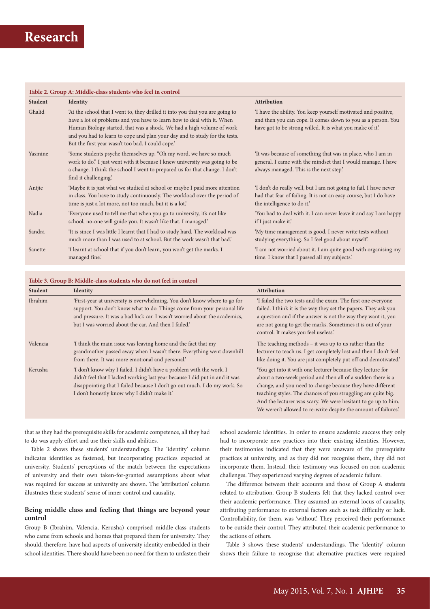| <b>Student</b> | <b>Identity</b>                                                                                                                                                                                                                                                                                                                                                     | Attribution                                                                                                                                                                                 |  |
|----------------|---------------------------------------------------------------------------------------------------------------------------------------------------------------------------------------------------------------------------------------------------------------------------------------------------------------------------------------------------------------------|---------------------------------------------------------------------------------------------------------------------------------------------------------------------------------------------|--|
| Ghalid         | 'At the school that I went to, they drilled it into you that you are going to<br>have a lot of problems and you have to learn how to deal with it. When<br>Human Biology started, that was a shock. We had a high volume of work<br>and you had to learn to cope and plan your day and to study for the tests.<br>But the first year wasn't too bad. I could cope.' | 'I have the ability. You keep yourself motivated and positive,<br>and then you can cope. It comes down to you as a person. You<br>have got to be strong willed. It is what you make of it.' |  |
| Yasmine        | Some students psyche themselves up, "Oh my word, we have so much<br>work to do." I just went with it because I knew university was going to be<br>a change. I think the school I went to prepared us for that change. I don't<br>find it challenging.                                                                                                               | It was because of something that was in place, who I am in<br>general. I came with the mindset that I would manage. I have<br>always managed. This is the next step.                        |  |
| Antije         | 'Maybe it is just what we studied at school or maybe I paid more attention<br>in class. You have to study continuously. The workload over the period of<br>time is just a lot more, not too much, but it is a lot.'                                                                                                                                                 | 'I don't do really well, but I am not going to fail. I have never<br>had that fear of failing. It is not an easy course, but I do have<br>the intelligence to do it.'                       |  |
| Nadia          | 'Everyone used to tell me that when you go to university, it's not like<br>school, no-one will guide you. It wasn't like that. I managed.'                                                                                                                                                                                                                          | 'You had to deal with it. I can never leave it and say I am happy<br>if I just make it.                                                                                                     |  |
| Sandra         | 'It is since I was little I learnt that I had to study hard. The workload was<br>much more than I was used to at school. But the work wasn't that bad.'                                                                                                                                                                                                             | 'My time management is good. I never write tests without<br>studying everything. So I feel good about myself.                                                                               |  |
| Sanette        | 'I learnt at school that if you don't learn, you won't get the marks. I<br>managed fine.                                                                                                                                                                                                                                                                            | 'I am not worried about it. I am quite good with organising my<br>time. I know that I passed all my subjects.                                                                               |  |

### **Table 3. Group B: Middle-class students who do not feel in control**

| <b>Student</b> | <b>Identity</b>                                                                                                                                                                                                                                                                           | <b>Attribution</b>                                                                                                                                                                                                                                                                                                                                                                            |
|----------------|-------------------------------------------------------------------------------------------------------------------------------------------------------------------------------------------------------------------------------------------------------------------------------------------|-----------------------------------------------------------------------------------------------------------------------------------------------------------------------------------------------------------------------------------------------------------------------------------------------------------------------------------------------------------------------------------------------|
| Ibrahim        | 'First-year at university is overwhelming. You don't know where to go for<br>support. You don't know what to do. Things come from your personal life<br>and pressure. It was a bad luck car. I wasn't worried about the academics,<br>but I was worried about the car. And then I failed. | 'I failed the two tests and the exam. The first one everyone<br>failed. I think it is the way they set the papers. They ask you<br>a question and if the answer is not the way they want it, you<br>are not going to get the marks. Sometimes it is out of your<br>control. It makes you feel useless.'                                                                                       |
| Valencia       | I think the main issue was leaving home and the fact that my<br>grandmother passed away when I wasn't there. Everything went downhill<br>from there. It was more emotional and personal.                                                                                                  | The teaching methods $-$ it was up to us rather than the<br>lecturer to teach us. I get completely lost and then I don't feel<br>like doing it. You are just completely put off and demotivated.                                                                                                                                                                                              |
| Kerusha        | 'I don't know why I failed. I didn't have a problem with the work. I<br>didn't feel that I lacked working last year because I did put in and it was<br>disappointing that I failed because I don't go out much. I do my work. So<br>I don't honestly know why I didn't make it.'          | 'You get into it with one lecturer because they lecture for<br>about a two-week period and then all of a sudden there is a<br>change, and you need to change because they have different<br>teaching styles. The chances of you struggling are quite big.<br>And the lecturer was scary. We were hesitant to go up to him.<br>We weren't allowed to re-write despite the amount of failures.' |

that as they had the prerequisite skills for academic competence, all they had to do was apply effort and use their skills and abilities.

Table 2 shows these students' understandings. The 'identity' column indicates identities as fastened, but incorporating practices expected at university. Students' perceptions of the match between the expectations of university and their own taken-for-granted assumptions about what was required for success at university are shown. The 'attribution' column illustrates these students' sense of inner control and causality.

# **Being middle class and feeling that things are beyond your control**

Group B (Ibrahim, Valencia, Kerusha) comprised middle-class students who came from schools and homes that prepared them for university. They should, therefore, have had aspects of university identity embedded in their school identities. There should have been no need for them to unfasten their

school academic identities. In order to ensure academic success they only had to incorporate new practices into their existing identities. However, their testimonies indicated that they were unaware of the prerequisite practices at university, and as they did not recognise them, they did not incorporate them. Instead, their testimony was focused on non-academic challenges. They experienced varying degrees of academic failure.

The difference between their accounts and those of Group A students related to attribution. Group B students felt that they lacked control over their academic performance. They assumed an external locus of causality, attributing performance to external factors such as task difficulty or luck. Controllability, for them, was 'without'. They perceived their performance to be outside their control. They attributed their academic performance to the actions of others.

Table 3 shows these students' understandings. The 'identity' column shows their failure to recognise that alternative practices were required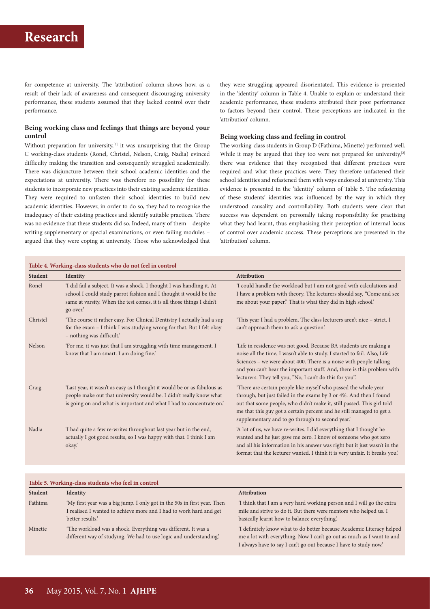for competence at university. The 'attribution' column shows how, as a result of their lack of awareness and consequent discouraging university performance, these students assumed that they lacked control over their performance.

### **Being working class and feelings that things are beyond your control**

Without preparation for university,<sup>[2]</sup> it was unsurprising that the Group C working-class students (Ronel, Christel, Nelson, Craig, Nadia) evinced difficulty making the transition and consequently struggled academically. There was disjuncture between their school academic identities and the expectations at university. There was therefore no possibility for these students to incorporate new practices into their existing academic identities. They were required to unfasten their school identities to build new academic identities. However, in order to do so, they had to recognise the inadequacy of their existing practices and identify suitable practices. There was no evidence that these students did so. Indeed, many of them – despite writing supplementary or special examinations, or even failing modules – argued that they were coping at university. Those who acknowledged that

they were struggling appeared disorientated. This evidence is presented in the 'identity' column in Table 4. Unable to explain or understand their academic performance, these students attributed their poor performance to factors beyond their control. These perceptions are indicated in the 'attribution' column.

### **Being working class and feeling in control**

The working-class students in Group D (Fathima, Minette) performed well. While it may be argued that they too were not prepared for university,<sup>[2]</sup> there was evidence that they recognised that different practices were required and what these practices were. They therefore unfastened their school identities and refastened them with ways endorsed at university. This evidence is presented in the 'identity' column of Table 5. The refastening of these students' identities was influenced by the way in which they understood causality and controllability. Both students were clear that success was dependent on personally taking responsibility for practising what they had learnt, thus emphasising their perception of internal locus of control over academic success. These perceptions are presented in the 'attribution' column.

| Table 4. Working-class students who do not feel in control |                                                                                                                                                                                                                                  |                                                                                                                                                                                                                                                                                                                                                             |  |  |
|------------------------------------------------------------|----------------------------------------------------------------------------------------------------------------------------------------------------------------------------------------------------------------------------------|-------------------------------------------------------------------------------------------------------------------------------------------------------------------------------------------------------------------------------------------------------------------------------------------------------------------------------------------------------------|--|--|
| <b>Student</b>                                             | Identity                                                                                                                                                                                                                         | <b>Attribution</b>                                                                                                                                                                                                                                                                                                                                          |  |  |
| Ronel                                                      | 'I did fail a subject. It was a shock. I thought I was handling it. At<br>school I could study parrot fashion and I thought it would be the<br>same at varsity. When the test comes, it is all those things I didn't<br>go over. | 'I could handle the workload but I am not good with calculations and<br>I have a problem with theory. The lecturers should say, "Come and see<br>me about your paper." That is what they did in high school.'                                                                                                                                               |  |  |
| Christel                                                   | 'The course it rather easy. For Clinical Dentistry I actually had a sup<br>for the exam – I think I was studying wrong for that. But I felt okay<br>- nothing was difficult.'                                                    | 'This year I had a problem. The class lecturers aren't nice - strict. I<br>can't approach them to ask a question.'                                                                                                                                                                                                                                          |  |  |
| Nelson                                                     | 'For me, it was just that I am struggling with time management. I<br>know that I am smart. I am doing fine.'                                                                                                                     | 'Life in residence was not good. Because BA students are making a<br>noise all the time, I wasn't able to study. I started to fail. Also, Life<br>Sciences - we were about 400. There is a noise with people talking<br>and you can't hear the important stuff. And, there is this problem with<br>lecturers. They tell you, "No, I can't do this for you". |  |  |
| Craig                                                      | 'Last year, it wasn't as easy as I thought it would be or as fabulous as<br>people make out that university would be. I didn't really know what<br>is going on and what is important and what I had to concentrate on.'          | 'There are certain people like myself who passed the whole year<br>through, but just failed in the exams by 3 or 4%. And then I found<br>out that some people, who didn't make it, still passed. This girl told<br>me that this guy got a certain percent and he still managed to get a<br>supplementary and to go through to second year.'                 |  |  |
| Nadia                                                      | 'I had quite a few re-writes throughout last year but in the end,<br>actually I got good results, so I was happy with that. I think I am<br>okay.                                                                                | 'A lot of us, we have re-writes. I did everything that I thought he<br>wanted and he just gave me zero. I know of someone who got zero<br>and all his information in his answer was right but it just wasn't in the<br>format that the lecturer wanted. I think it is very unfair. It breaks you.'                                                          |  |  |

| Table 5. Working-class students who feel in control |                                                                                                                                                                   |                                                                                                                                                                                                                     |  |  |  |
|-----------------------------------------------------|-------------------------------------------------------------------------------------------------------------------------------------------------------------------|---------------------------------------------------------------------------------------------------------------------------------------------------------------------------------------------------------------------|--|--|--|
| <b>Student</b>                                      | <b>Identity</b>                                                                                                                                                   | <b>Attribution</b>                                                                                                                                                                                                  |  |  |  |
| Fathima                                             | 'My first year was a big jump. I only got in the 50s in first year. Then<br>I realised I wanted to achieve more and I had to work hard and get<br>better results. | 'I think that I am a very hard working person and I will go the extra<br>mile and strive to do it. But there were mentors who helped us. I<br>basically learnt how to balance everything.                           |  |  |  |
| Minette                                             | 'The workload was a shock. Everything was different. It was a<br>different way of studying. We had to use logic and understanding.                                | 'I definitely know what to do better because Academic Literacy helped<br>me a lot with everything. Now I can't go out as much as I want to and<br>I always have to say I can't go out because I have to study now.' |  |  |  |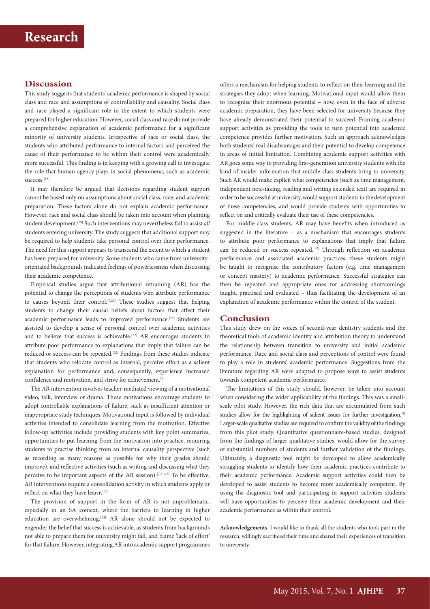# **Discussion**

This study suggests that students' academic performance is shaped by social class and race and assumptions of controllability and causality. Social class and race played a significant role in the extent to which students were prepared for higher education. However, social class and race do not provide a comprehensive explanation of academic performance for a significant minority of university students. Irrespective of race or social class, the students who attributed performance to internal factors and perceived the cause of their performance to be within their control were academically more successful. This finding is in keeping with a growing call to investigate the role that human agency plays in social phenomena, such as academic success.[18]

It may therefore be argued that decisions regarding student support cannot be based only on assumptions about social class, race, and academic preparation. These factors alone do not explain academic performance. However, race and social class should be taken into account when planning student development.[19] Such interventions may nevertheless fail to assist *all* students entering university. The study suggests that additional support may be required to help students take personal control over their performance. The need for this support appears to transcend the extent to which a student has been prepared for university. Some students who came from universityorientated backgrounds indicated feelings of powerlessness when discussing their academic competence.

Empirical studies argue that attributional retraining (AR) has the potential to change the perceptions of students who attribute performance to causes beyond their control.<sup>[7,20]</sup> These studies suggest that helping students to change their causal beliefs about factors that affect their academic performance leads to improved performance.<sup>[21]</sup> Students are assisted to develop a sense of personal control over academic activities and to believe that success is achievable.<sup>[22]</sup> AR encourages students to attribute poor performance to explanations that imply that failure can be reduced or success can be repeated.[22] Findings from these studies indicate that students who relocate control as internal, perceive effort as a salient explanation for performance and, consequently, experience increased confidence and motivation, and strive for achievement.[7]

The AR intervention involves teacher-mediated viewing of a motivational video, talk, interview or drama. These motivations encourage students to adopt controllable explanations of failure, such as insufficient attention or inappropriate study techniques. Motivational input is followed by individual activities intended to consolidate learning from the motivation. Effective follow-up activities include providing students with key point summaries, opportunities to put learning from the motivation into practice, requiring students to practise thinking from an internal causality perspective (such as recording as many reasons as possible for why their grades should improve), and reflective activities (such as writing and discussing what they perceive to be important aspects of the AR session).<sup>[7,21,22]</sup> To be effective, AR interventions require a consolidation activity in which students apply or reflect on what they have learnt.<sup>[7]</sup>

The provision of support in the form of AR is not unproblematic, especially in an SA context, where the barriers to learning in higher education are overwhelming.<sup>[23]</sup> AR alone should not be expected to engender the belief that success is achievable, as students from backgrounds not able to prepare them for university might fail, and blame 'lack of effort' for that failure. However, integrating AR into academic support programmes offers a mechanism for helping students to reflect on their learning and the strategies they adopt when learning. Motivational input would allow them to recognise their enormous potential – how, even in the face of adverse academic preparation, they have been selected for university because they have already demonstrated their potential to succeed. Framing academic support activities as providing the tools to turn potential into academic competence provides further motivation. Such an approach acknowledges both students' real disadvantages and their potential to develop competence in areas of initial limitation. Combining academic support activities with AR goes some way to providing first-generation university students with the kind of insider information that middle-class students bring to university. Such AR would make explicit what competencies (such as time management, independent note-taking, reading and writing extended text) are required in order to be successful at university, would support students in the development of these competencies, and would provide students with opportunities to reflect on and critically evaluate their use of these competencies.

For middle-class students, AR may have benefits when introduced as suggested in the literature – as a mechanism that encourages students to attribute poor performance to explanations that imply that failure can be reduced or success repeated.<sup>[22]</sup> Through reflection on academic performance and associated academic practices, these students might be taught to recognise the contributory factors (e.g. time management or concept mastery) to academic performance. Successful strategies can then be repeated and appropriate ones for addressing shortcomings taught, practised and evaluated – thus facilitating the development of an explanation of academic performance within the control of the student.

### **Conclusion**

This study drew on the voices of second-year dentistry students and the theoretical tools of academic identity and attribution theory to understand the relationship between transition to university and initial academic performance. Race and social class and perceptions of control were found to play a role in students' academic performance. Suggestions from the literature regarding AR were adapted to propose ways to assist students towards competent academic performance.

The limitations of this study should, however, be taken into account when considering the wider applicability of the findings. This was a smallscale pilot study. However, the rich data that are accumulated from such studies allow for the highlighting of salient issues for further investigation.<sup>[9]</sup> Larger-scale qualitative studies are required to confirm the validity of the findings from this pilot study. Quantitative questionnaire-based studies, designed from the findings of larger qualitative studies, would allow for the survey of substantial numbers of students and further validation of the findings. Ultimately, a diagnostic tool might be developed to allow academically struggling students to identify how their academic practices contribute to their academic performance. Academic support activities could then be developed to assist students to become more academically competent. By using the diagnostic tool and participating in support activities students will have opportunities to perceive their academic development and their academic performance as within their control.

**Acknowledgements.** I would like to thank all the students who took part in the research, willingly sacrificed their time and shared their experiences of transition to university.